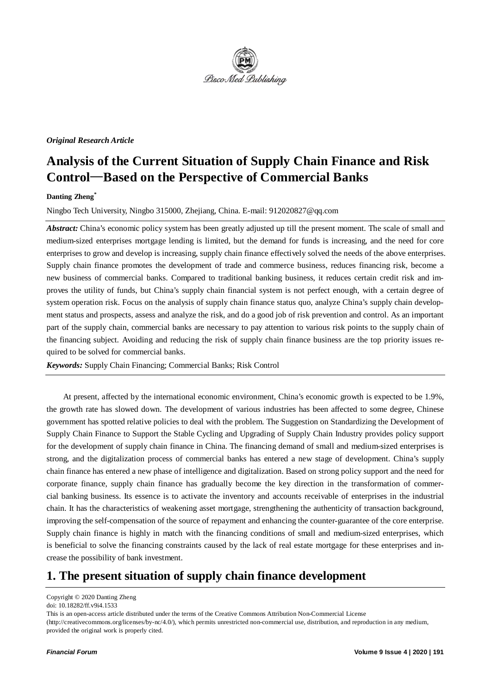

#### *Original Research Article*

# **Analysis of the Current Situation of Supply Chain Finance and Risk Control**—**Based on the Perspective of Commercial Banks**

#### **Danting Zheng\***

Ningbo Tech University, Ningbo 315000, Zhejiang, China. E-mail: 912020827@qq.com

*Abstract:* China's economic policy system has been greatly adjusted up till the present moment. The scale of small and medium-sized enterprises mortgage lending is limited, but the demand for funds is increasing, and the need for core enterprises to grow and develop is increasing, supply chain finance effectively solved the needs of the above enterprises. Supply chain finance promotes the development of trade and commerce business, reduces financing risk, become a new business of commercial banks. Compared to traditional banking business, it reduces certain credit risk and improves the utility of funds, but China's supply chain financial system is not perfect enough, with a certain degree of system operation risk. Focus on the analysis of supply chain finance status quo, analyze China's supply chain development status and prospects, assess and analyze the risk, and do a good job of risk prevention and control. As an important part of the supply chain, commercial banks are necessary to pay attention to various risk points to the supply chain of the financing subject. Avoiding and reducing the risk of supply chain finance business are the top priority issues required to be solved for commercial banks.

*Keywords:* Supply Chain Financing; Commercial Banks; Risk Control

At present, affected by the international economic environment, China's economic growth is expected to be 1.9%, the growth rate has slowed down. The development of various industries has been affected to some degree, Chinese government has spotted relative policies to deal with the problem. The Suggestion on Standardizing the Development of Supply Chain Finance to Support the Stable Cycling and Upgrading of Supply Chain Industry provides policy support for the development of supply chain finance in China. The financing demand of small and medium-sized enterprises is strong, and the digitalization process of commercial banks has entered a new stage of development. China's supply chain finance has entered a new phase of intelligence and digitalization. Based on strong policy support and the need for corporate finance, supply chain finance has gradually become the key direction in the transformation of commercial banking business. Its essence is to activate the inventory and accounts receivable of enterprises in the industrial chain. It has the characteristics of weakening asset mortgage, strengthening the authenticity of transaction background, improving the self-compensation of the source of repayment and enhancing the counter-guarantee of the core enterprise. Supply chain finance is highly in match with the financing conditions of small and medium-sized enterprises, which is beneficial to solve the financing constraints caused by the lack of real estate mortgage for these enterprises and increase the possibility of bank investment.

## **1. The present situation of supply chain finance development**

This is an open-access article distributed under the terms of the Creative Commons Attribution Non-Commercial License (http://creativecommons.org/licenses/by-nc/4.0/), which permits unrestricted non-commercial use, distribution, and reproduction in any medium, provided the original work is properly cited.

Copyright © 2020 Danting Zheng

doi: 10.18282/ff.v9i4.1533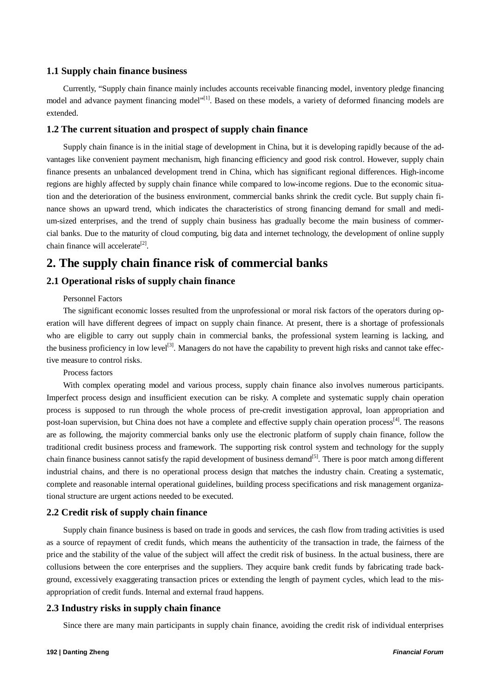#### **1.1 Supply chain finance business**

Currently, "Supply chain finance mainly includes accounts receivable financing model, inventory pledge financing model and advance payment financing model"<sup>[1]</sup>. Based on these models, a variety of deformed financing models are extended.

#### **1.2 The current situation and prospect of supply chain finance**

Supply chain finance is in the initial stage of development in China, but it is developing rapidly because of the advantages like convenient payment mechanism, high financing efficiency and good risk control. However, supply chain finance presents an unbalanced development trend in China, which has significant regional differences. High-income regions are highly affected by supply chain finance while compared to low-income regions. Due to the economic situation and the deterioration of the business environment, commercial banks shrink the credit cycle. But supply chain finance shows an upward trend, which indicates the characteristics of strong financing demand for small and medium-sized enterprises, and the trend of supply chain business has gradually become the main business of commercial banks. Due to the maturity of cloud computing, big data and internet technology, the development of online supply chain finance will accelerate<sup>[2]</sup>.

### **2. The supply chain finance risk of commercial banks**

#### **2.1 Operational risks of supply chain finance**

#### Personnel Factors

The significant economic losses resulted from the unprofessional or moral risk factors of the operators during operation will have different degrees of impact on supply chain finance. At present, there is a shortage of professionals who are eligible to carry out supply chain in commercial banks, the professional system learning is lacking, and the business proficiency in low level<sup>[3]</sup>. Managers do not have the capability to prevent high risks and cannot take effective measure to control risks.

#### Process factors

With complex operating model and various process, supply chain finance also involves numerous participants. Imperfect process design and insufficient execution can be risky. A complete and systematic supply chain operation process is supposed to run through the whole process of pre-credit investigation approval, loan appropriation and post-loan supervision, but China does not have a complete and effective supply chain operation process<sup>[4]</sup>. The reasons are as following, the majority commercial banks only use the electronic platform of supply chain finance, follow the traditional credit business process and framework. The supporting risk control system and technology for the supply chain finance business cannot satisfy the rapid development of business demand<sup>[5]</sup>. There is poor match among different industrial chains, and there is no operational process design that matches the industry chain. Creating a systematic, complete and reasonable internal operational guidelines, building process specifications and risk management organizational structure are urgent actions needed to be executed.

#### **2.2 Credit risk of supply chain finance**

Supply chain finance business is based on trade in goods and services, the cash flow from trading activities is used as a source of repayment of credit funds, which means the authenticity of the transaction in trade, the fairness of the price and the stability of the value of the subject will affect the credit risk of business. In the actual business, there are collusions between the core enterprises and the suppliers. They acquire bank credit funds by fabricating trade background, excessively exaggerating transaction prices or extending the length of payment cycles, which lead to the misappropriation of credit funds. Internal and external fraud happens.

#### **2.3 Industry risks in supply chain finance**

Since there are many main participants in supply chain finance, avoiding the credit risk of individual enterprises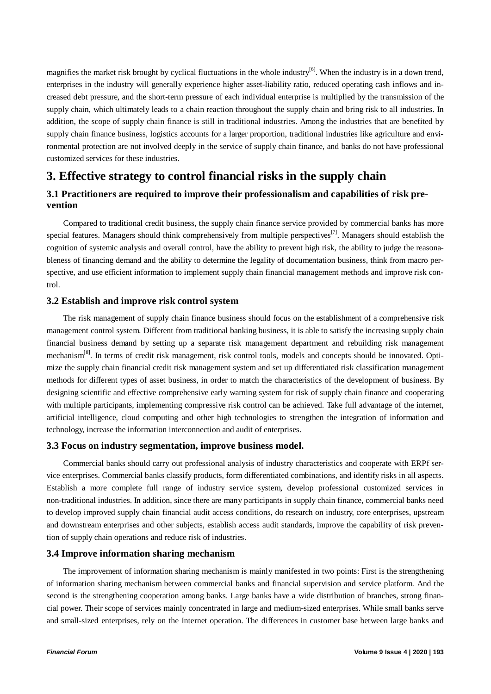magnifies the market risk brought by cyclical fluctuations in the whole industry<sup>[6]</sup>. When the industry is in a down trend, enterprises in the industry will generally experience higher asset-liability ratio, reduced operating cash inflows and increased debt pressure, and the short-term pressure of each individual enterprise is multiplied by the transmission of the supply chain, which ultimately leads to a chain reaction throughout the supply chain and bring risk to all industries. In addition, the scope of supply chain finance is still in traditional industries. Among the industries that are benefited by supply chain finance business, logistics accounts for a larger proportion, traditional industries like agriculture and environmental protection are not involved deeply in the service of supply chain finance, and banks do not have professional customized services for these industries.

### **3. Effective strategy to control financial risks in the supply chain**

### **3.1 Practitioners are required to improve their professionalism and capabilities of risk prevention**

Compared to traditional credit business, the supply chain finance service provided by commercial banks has more special features. Managers should think comprehensively from multiple perspectives<sup>[7]</sup>. Managers should establish the cognition of systemic analysis and overall control, have the ability to prevent high risk, the ability to judge the reasonableness of financing demand and the ability to determine the legality of documentation business, think from macro perspective, and use efficient information to implement supply chain financial management methods and improve risk control.

#### **3.2 Establish and improve risk control system**

The risk management of supply chain finance business should focus on the establishment of a comprehensive risk management control system. Different from traditional banking business, it is able to satisfy the increasing supply chain financial business demand by setting up a separate risk management department and rebuilding risk management mechanism[8]. In terms of credit risk management, risk control tools, models and concepts should be innovated. Optimize the supply chain financial credit risk management system and set up differentiated risk classification management methods for different types of asset business, in order to match the characteristics of the development of business. By designing scientific and effective comprehensive early warning system for risk of supply chain finance and cooperating with multiple participants, implementing compressive risk control can be achieved. Take full advantage of the internet, artificial intelligence, cloud computing and other high technologies to strengthen the integration of information and technology, increase the information interconnection and audit of enterprises.

#### **3.3 Focus on industry segmentation, improve business model.**

Commercial banks should carry out professional analysis of industry characteristics and cooperate with ERPf service enterprises. Commercial banks classify products, form differentiated combinations, and identify risks in all aspects. Establish a more complete full range of industry service system, develop professional customized services in non-traditional industries. In addition, since there are many participants in supply chain finance, commercial banks need to develop improved supply chain financial audit access conditions, do research on industry, core enterprises, upstream and downstream enterprises and other subjects, establish access audit standards, improve the capability of risk prevention of supply chain operations and reduce risk of industries.

#### **3.4 Improve information sharing mechanism**

The improvement of information sharing mechanism is mainly manifested in two points: First is the strengthening of information sharing mechanism between commercial banks and financial supervision and service platform. And the second is the strengthening cooperation among banks. Large banks have a wide distribution of branches, strong financial power. Their scope of services mainly concentrated in large and medium-sized enterprises. While small banks serve and small-sized enterprises, rely on the Internet operation. The differences in customer base between large banks and